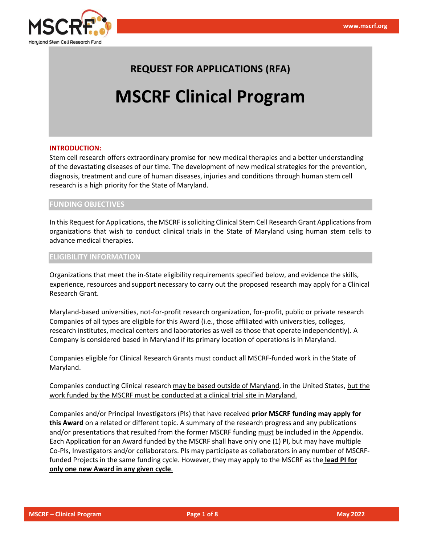

# **REQUEST FOR APPLICATIONS (RFA)**

# **MSCRF Clinical Program**

#### **INTRODUCTION:**

Stem cell research offers extraordinary promise for new medical therapies and a better understanding of the devastating diseases of our time. The development of new medical strategies for the prevention, diagnosis, treatment and cure of human diseases, injuries and conditions through human stem cell research is a high priority for the State of Maryland.

#### **FUNDING OBJECTIVES**

In this Request for Applications, the MSCRF issoliciting Clinical Stem Cell Research Grant Applicationsfrom organizations that wish to conduct clinical trials in the State of Maryland using human stem cells to advance medical therapies.

#### **ELIGIBILITY INFORMATION**

Organizations that meet the in-State eligibility requirements specified below, and evidence the skills, experience, resources and support necessary to carry out the proposed research may apply for a Clinical Research Grant.

Maryland-based universities, not-for-profit research organization, for-profit, public or private research Companies of all types are eligible for this Award (i.e., those affiliated with universities, colleges, research institutes, medical centers and laboratories as well as those that operate independently). A Company is considered based in Maryland if its primary location of operations is in Maryland.

Companies eligible for Clinical Research Grants must conduct all MSCRF-funded work in the State of Maryland.

Companies conducting Clinical research may be based outside of Maryland, in the United States, but the work funded by the MSCRF must be conducted at a clinical trial site in Maryland.

Companies and/or Principal Investigators (PIs) that have received **prior MSCRF funding may apply for this Award** on a related or different topic. A summary of the research progress and any publications and/or presentations that resulted from the former MSCRF funding must be included in the Appendix. Each Application for an Award funded by the MSCRF shall have only one (1) PI, but may have multiple Co-PIs, Investigators and/or collaborators. PIs may participate as collaborators in any number of MSCRFfunded Projects in the same funding cycle. However, they may apply to the MSCRF as the **lead PI for only one new Award in any given cycle**.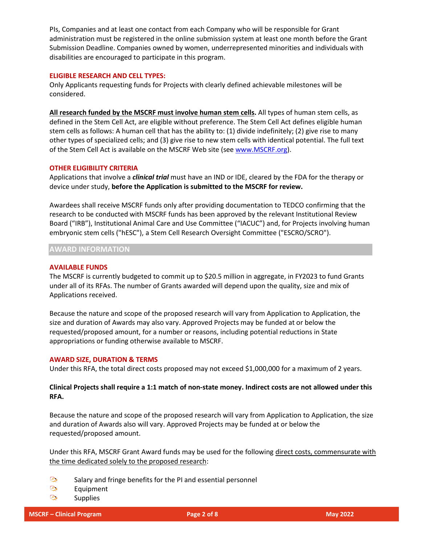PIs, Companies and at least one contact from each Company who will be responsible for Grant administration must be registered in the online submission system at least one month before the Grant Submission Deadline. Companies owned by women, underrepresented minorities and individuals with disabilities are encouraged to participate in this program.

# **ELIGIBLE RESEARCH AND CELL TYPES:**

Only Applicants requesting funds for Projects with clearly defined achievable milestones will be considered.

**All research funded by the MSCRF must involve human stem cells.** All types of human stem cells, as defined in the Stem Cell Act, are eligible without preference. The Stem Cell Act defines eligible human stem cells as follows: A human cell that has the ability to: (1) divide indefinitely; (2) give rise to many other types of specialized cells; and (3) give rise to new stem cells with identical potential. The full text of the Stem Cell Act is available on the MSCRF Web site (see [www.MSCRF.org\)](http://www.mscrf.org/).

# **OTHER ELIGIBILITY CRITERIA**

Applications that involve a *clinical trial* must have an IND or IDE, cleared by the FDA for the therapy or device under study, **before the Application is submitted to the MSCRF for review.**

Awardees shall receive MSCRF funds only after providing documentation to TEDCO confirming that the research to be conducted with MSCRF funds has been approved by the relevant Institutional Review Board ("IRB"), Institutional Animal Care and Use Committee ("IACUC") and, for Projects involving human embryonic stem cells ("hESC"), a Stem Cell Research Oversight Committee ("ESCRO/SCRO").

**AWARD INFORMATION**

#### **AVAILABLE FUNDS**

The MSCRF is currently budgeted to commit up to \$20.5 million in aggregate, in FY2023 to fund Grants under all of its RFAs. The number of Grants awarded will depend upon the quality, size and mix of Applications received.

Because the nature and scope of the proposed research will vary from Application to Application, the size and duration of Awards may also vary. Approved Projects may be funded at or below the requested/proposed amount, for a number or reasons, including potential reductions in State appropriations or funding otherwise available to MSCRF.

#### **AWARD SIZE, DURATION & TERMS**

Under this RFA, the total direct costs proposed may not exceed \$1,000,000 for a maximum of 2 years.

# **Clinical Projects shall require a 1:1 match of non-state money. Indirect costs are not allowed under this RFA.**

Because the nature and scope of the proposed research will vary from Application to Application, the size and duration of Awards also will vary. Approved Projects may be funded at or below the requested/proposed amount.

Under this RFA, MSCRF Grant Award funds may be used for the following direct costs, commensurate with the time dedicated solely to the proposed research:

- $\odot$ Salary and fringe benefits for the PI and essential personnel
- **پ** Equipment
- $\odot$ **Supplies**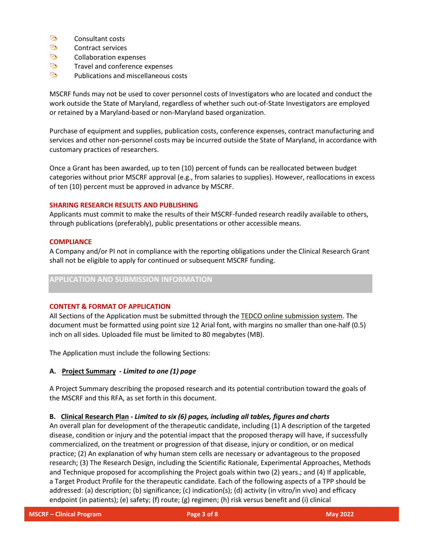- $\mathbb{Q}_{\bullet}$ Consultant costs
- $\odot$ Contract services
- ا پيدا *هي.* Collaboration expenses
- $\mathbb{C}_{\bullet}$ Travel and conference expenses
- $\mathbb{C}_{\bullet}$ Publications and miscellaneous costs

MSCRF funds may not be used to cover personnel costs of Investigators who are located and conduct the work outside the State of Maryland, regardless of whether such out-of-State Investigators are employed or retained by a Maryland-based or non-Maryland based organization.

Purchase of equipment and supplies, publication costs, conference expenses, contract manufacturing and services and other non-personnel costs may be incurred outside the State of Maryland, in accordance with customary practices of researchers.

Once a Grant has been awarded, up to ten (10) percent of funds can be reallocated between budget categories without prior MSCRF approval (e.g., from salaries to supplies). However, reallocations in excess of ten (10) percent must be approved in advance by MSCRF.

#### **SHARING RESEARCH RESULTS AND PUBLISHING**

Applicants must commit to make the results of their MSCRF-funded research readily available to others, through publications (preferably), public presentations or other accessible means.

#### **COMPLIANCE**

A Company and/or PI not in compliance with the reporting obligations under the Clinical Research Grant shall not be eligible to apply for continued or subsequent MSCRF funding.

# **APPLICATION AND SUBMISSION INFORMATION**

# **CONTENT & FORMAT OF APPLICATION**

All Sections of the Application must be submitted through the TEDCO online submission system. The document must be formatted using point size 12 Arial font, with margins no smaller than one-half (0.5) inch on all sides. Uploaded file must be limited to 80 megabytes (MB).

The Application must include the following Sections:

# **A. Project Summary -** *Limited to one (1) page*

A Project Summary describing the proposed research and its potential contribution toward the goals of the MSCRF and this RFA, as set forth in this document.

# **B. Clinical Research Plan** *- Limited to six (6) pages, including all tables, figures and charts*

An overall plan for development of the therapeutic candidate, including (1) A description of the targeted disease, condition or injury and the potential impact that the proposed therapy will have, if successfully commercialized, on the treatment or progression of that disease, injury or condition, or on medical practice; (2) An explanation of why human stem cells are necessary or advantageous to the proposed research; (3) The Research Design, including the Scientific Rationale, Experimental Approaches, Methods and Technique proposed for accomplishing the Project goals within two (2) years.; and (4) If applicable, a Target Product Profile for the therapeutic candidate. Each of the following aspects of a TPP should be addressed: (a) description; (b) significance; (c) indication(s); (d) activity (in vitro/in vivo) and efficacy endpoint (in patients); (e) safety; (f) route; (g) regimen; (h) risk versus benefit and (i) clinical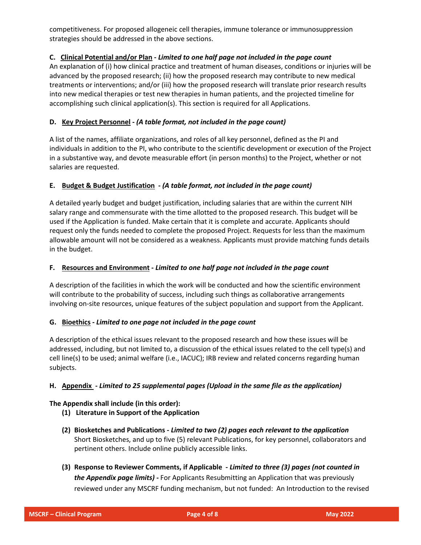competitiveness. For proposed allogeneic cell therapies, immune tolerance or immunosuppression strategies should be addressed in the above sections.

# **C. Clinical Potential and/or Plan -** *Limited to one half page not included in the page count*

An explanation of (i) how clinical practice and treatment of human diseases, conditions or injuries will be advanced by the proposed research; (ii) how the proposed research may contribute to new medical treatments or interventions; and/or (iii) how the proposed research will translate prior research results into new medical therapies or test new therapies in human patients, and the projected timeline for accomplishing such clinical application(s). This section is required for all Applications.

# **D. Key Project Personnel -** *(A table format, not included in the page count)*

A list of the names, affiliate organizations, and roles of all key personnel, defined as the PI and individuals in addition to the PI, who contribute to the scientific development or execution of the Project in a substantive way, and devote measurable effort (in person months) to the Project, whether or not salaries are requested.

# **E. Budget & Budget Justification -** *(A table format, not included in the page count)*

A detailed yearly budget and budget justification, including salaries that are within the current NIH salary range and commensurate with the time allotted to the proposed research. This budget will be used if the Application is funded. Make certain that it is complete and accurate. Applicants should request only the funds needed to complete the proposed Project. Requests for less than the maximum allowable amount will not be considered as a weakness. Applicants must provide matching funds details in the budget.

# **F. Resources and Environment -** *Limited to one half page not included in the page count*

A description of the facilities in which the work will be conducted and how the scientific environment will contribute to the probability of success, including such things as collaborative arrangements involving on-site resources, unique features of the subject population and support from the Applicant.

# **G. Bioethics -** *Limited to one page not included in the page count*

A description of the ethical issues relevant to the proposed research and how these issues will be addressed, including, but not limited to, a discussion of the ethical issues related to the cell type(s) and cell line(s) to be used; animal welfare (i.e., IACUC); IRB review and related concerns regarding human subjects.

# **H. Appendix -** *Limited to 25 supplemental pages (Upload in the same file as the application)*

# **The Appendix shall include (in this order):**

- **(1) Literature in Support of the Application**
- **(2) Biosketches and Publications -** *Limited to two (2) pages each relevant to the application* Short Biosketches, and up to five (5) relevant Publications, for key personnel, collaborators and pertinent others. Include online publicly accessible links.
- **(3) Response to Reviewer Comments, if Applicable -** *Limited to three (3) pages (not counted in the Appendix page limits)* **-** For Applicants Resubmitting an Application that was previously reviewed under any MSCRF funding mechanism, but not funded: An Introduction to the revised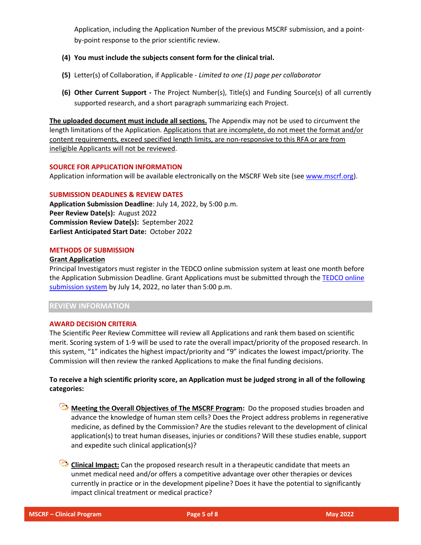Application, including the Application Number of the previous MSCRF submission, and a pointby-point response to the prior scientific review.

- **(4) You must include the subjects consent form for the clinical trial.**
- **(5)** Letter(s) of Collaboration, if Applicable *Limited to one (1) page per collaborator*
- **(6) Other Current Support -** The Project Number(s), Title(s) and Funding Source(s) of all currently supported research, and a short paragraph summarizing each Project.

**The uploaded document must include all sections.** The Appendix may not be used to circumvent the length limitations of the Application. Applications that are incomplete, do not meet the format and/or content requirements, exceed specified length limits, are non-responsive to this RFA or are from ineligible Applicants will not be reviewed.

# **SOURCE FOR APPLICATION INFORMATION**

Application information will be available electronically on the MSCRF Web site (see [www.mscrf.org\)](http://www.mscrf.org/).

# **SUBMISSION DEADLINES & REVIEW DATES**

**Application Submission Deadline**: July 14, 2022, by 5:00 p.m. **Peer Review Date(s):** August 2022 **Commission Review Date(s):** September 2022 **Earliest Anticipated Start Date:** October 2022

#### **METHODS OF SUBMISSION**

#### **Grant Application**

Principal Investigators must register in the TEDCO online submission system at least one month before the Application Submission Deadline. Grant Applications must be submitted through the [TEDCO](https://jlweb.co/prod1/portal/portal.jsp?c=2222979&p=5503280&g=5597611) online [submission](https://jlweb.co/prod1/portal/portal.jsp?c=2222979&p=5503280&g=5597611) system by July 14, 2022, no later than 5:00 p.m.

# **REVIEW INFORMATION**

#### **AWARD DECISION CRITERIA**

The Scientific Peer Review Committee will review all Applications and rank them based on scientific merit. Scoring system of 1-9 will be used to rate the overall impact/priority of the proposed research. In this system, "1" indicates the highest impact/priority and "9" indicates the lowest impact/priority. The Commission will then review the ranked Applications to make the final funding decisions.

# To receive a high scientific priority score, an Application must be judged strong in all of the following **categories:**

**Meeting the Overall Objectives of The MSCRF Program:** Do the proposed studies broaden and advance the knowledge of human stem cells? Does the Project address problems in regenerative medicine, as defined by the Commission? Are the studies relevant to the development of clinical application(s) to treat human diseases, injuries or conditions? Will these studies enable, support and expedite such clinical application(s)?

**Clinical Impact:** Can the proposed research result in a therapeutic candidate that meets an unmet medical need and/or offers a competitive advantage over other therapies or devices currently in practice or in the development pipeline? Does it have the potential to significantly impact clinical treatment or medical practice?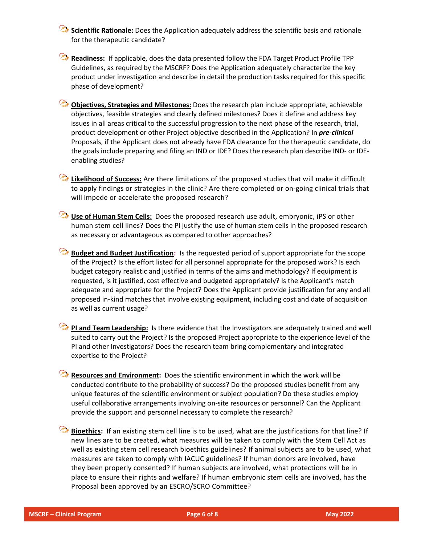**Scientific Rationale:** Does the Application adequately address the scientific basis and rationale for the therapeutic candidate?

**Readiness:** If applicable, does the data presented follow the FDA Target Product Profile TPP Guidelines, as required by the MSCRF? Does the Application adequately characterize the key product under investigation and describe in detail the production tasks required for this specific phase of development?

**Objectives, Strategies and Milestones:** Does the research plan include appropriate, achievable objectives, feasible strategies and clearly defined milestones? Does it define and address key issues in all areas critical to the successful progression to the next phase of the research, trial, product development or other Project objective described in the Application? In *pre-clinical* Proposals, if the Applicant does not already have FDA clearance for the therapeutic candidate, do the goals include preparing and filing an IND or IDE? Does the research plan describe IND- or IDEenabling studies?

**Likelihood of Success:** Are there limitations of the proposed studies that will make it difficult to apply findings or strategies in the clinic? Are there completed or on-going clinical trials that will impede or accelerate the proposed research?

**Use of Human Stem Cells:** Does the proposed research use adult, embryonic, iPS or other human stem cell lines? Does the PI justify the use of human stem cells in the proposed research as necessary or advantageous as compared to other approaches?

**Budget and Budget Justification:** Is the requested period of support appropriate for the scope of the Project? Is the effort listed for all personnel appropriate for the proposed work? Is each budget category realistic and justified in terms of the aims and methodology? If equipment is requested, is it justified, cost effective and budgeted appropriately? Is the Applicant's match adequate and appropriate for the Project? Does the Applicant provide justification for any and all proposed in-kind matches that involve existing equipment, including cost and date of acquisition as well as current usage?

**PI and Team Leadership:** Is there evidence that the Investigators are adequately trained and well suited to carry out the Project? Is the proposed Project appropriate to the experience level of the PI and other Investigators? Does the research team bring complementary and integrated expertise to the Project?

**Resources and Environment:** Does the scientific environment in which the work will be conducted contribute to the probability of success? Do the proposed studies benefit from any unique features of the scientific environment or subject population? Do these studies employ useful collaborative arrangements involving on-site resources or personnel? Can the Applicant provide the support and personnel necessary to complete the research?

Bioethics: If an existing stem cell line is to be used, what are the justifications for that line? If new lines are to be created, what measures will be taken to comply with the Stem Cell Act as well as existing stem cell research bioethics guidelines? If animal subjects are to be used, what measures are taken to comply with IACUC guidelines? If human donors are involved, have they been properly consented? If human subjects are involved, what protections will be in place to ensure their rights and welfare? If human embryonic stem cells are involved, has the Proposal been approved by an ESCRO/SCRO Committee?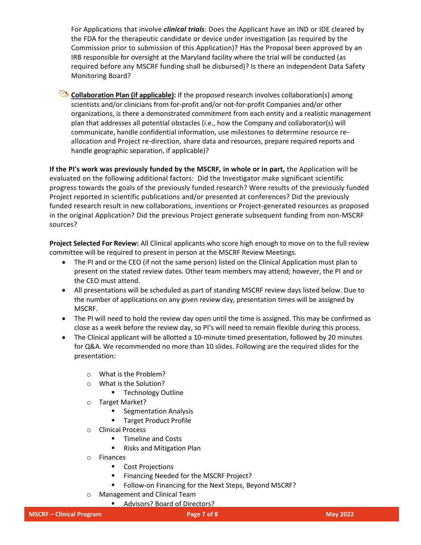For Applications that involve *clinical trials*: Does the Applicant have an IND or IDE cleared by the FDA for the therapeutic candidate or device under investigation (as required by the Commission prior to submission of this Application)? Has the Proposal been approved by an IRB responsible for oversight at the Maryland facility where the trial will be conducted (as required before any MSCRF funding shall be disbursed)? Is there an independent Data Safety Monitoring Board?

**Collaboration Plan (if applicable):** If the proposed research involves collaboration(s) among scientists and/or clinicians from for-profit and/or not-for-profit Companies and/or other organizations, is there a demonstrated commitment from each entity and a realistic management plan that addresses all potential obstacles (i.e., how the Company and collaborator(s) will communicate, handle confidential information, use milestones to determine resource reallocation and Project re-direction, share data and resources, prepare required reports and handle geographic separation, if applicable)?

**If the PI's work was previously funded by the MSCRF***,* **in whole or in part,** the Application will be evaluated on the following additional factors: Did the Investigator make significant scientific progress towards the goals of the previously funded research? Were results of the previously funded Project reported in scientific publications and/or presented at conferences? Did the previously funded research result in new collaborations, inventions or Project-generated resources as proposed in the original Application? Did the previous Project generate subsequent funding from non-MSCRF sources?

**Project Selected For Review:** All Clinical applicants who score high enough to move on to the full review committee will be required to present in person at the MSCRF Review Meetings.

- The PI and or the CEO (if not the same person) listed on the Clinical Application must plan to present on the stated review dates. Other team members may attend; however, the PI and or the CEO must attend.
- All presentations will be scheduled as part of standing MSCRF review days listed below. Due to the number of applications on any given review day, presentation times will be assigned by MSCRF.
- The PI will need to hold the review day open until the time is assigned. This may be confirmed as close as a week before the review day, so PI's will need to remain flexible during this process.
- The Clinical applicant will be allotted a 10-minute timed presentation, followed by 20 minutes for Q&A. We recommended no more than 10 slides. Following are the required slides for the presentation:
	- o What is the Problem?
	- o What is the Solution?
		- Technology Outline
	- o Target Market?
		- Segmentation Analysis
		- Target Product Profile
	- o Clinical Process
		- Timeline and Costs
		- Risks and Mitigation Plan
	- o Finances
		- Cost Projections
		- Financing Needed for the MSCRF Project?
		- Follow-on Financing for the Next Steps, Beyond MSCRF?
	- o Management and Clinical Team
		- Advisors? Board of Directors?